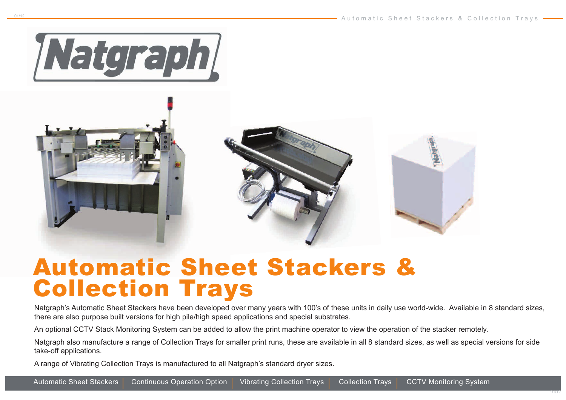



# Automatic Sheet Stackers & Collection Trays

Natgraph's Automatic Sheet Stackers have been developed over many years with 100's of these units in daily use world-wide. Available in 8 standard sizes, there are also purpose built versions for high pile/high speed applications and special substrates.

An optional CCTV Stack Monitoring System can be added to allow the print machine operator to view the operation of the stacker remotely.

Natgraph also manufacture a range of Collection Trays for smaller print runs, these are available in all 8 standard sizes, as well as special versions for side take-off applications.

A range of Vibrating Collection Trays is manufactured to all Natgraph's standard dryer sizes.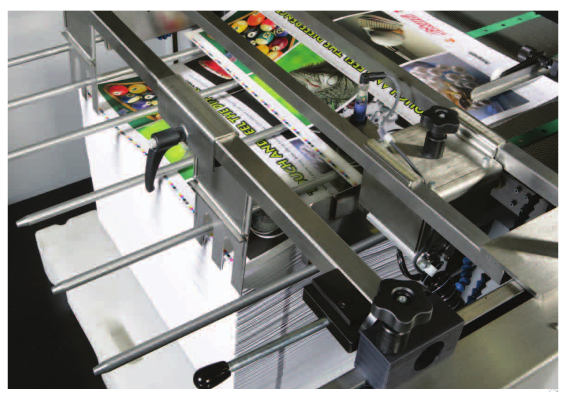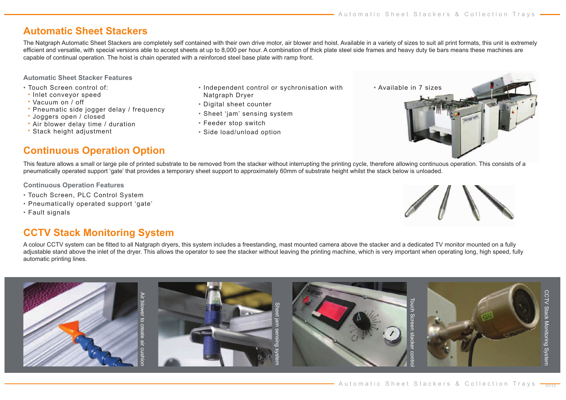#### **Automatic Sheet Stackers**

The Natgraph Automatic Sheet Stackers are completely self contained with their own drive motor, air blower and hoist. Available in a variety of sizes to suit all print formats, this unit is extremely efficient and versatile, with special versions able to accept sheets at up to 8,000 per hour. A combination of thick plate steel side frames and heavy duty tie bars means these machines are capable of continual operation. The hoist is chain operated with a reinforced steel base plate with ramp front.

#### **Automatic Sheet Stacker Features**

- Touch Screen control of:
- Inlet conveyor speed
- Vacuum on / off
- Pneumatic side jogger delay / frequency
- Joggers open / closed
- Air blower delay time / duration
- Stack height adjustment

#### **Continuous Operation Option**

- Independent control or sychronisation with Natgraph Dryer
- Digital sheet counter
- Sheet 'jam' sensing system
- Feeder stop switch
- Side load/unload option

• Available in 7 sizes



This feature allows a small or large pile of printed substrate to be removed from the stacker without interrupting the printing cycle, therefore allowing continuous operation. This consists of a pneumatically operated support 'gate' that provides a temporary sheet support to approximately 60mm of substrate height whilst the stack below is unloaded.

**Continuous Operation Features**

- Touch Screen, PLC Control System
- Pneumatically operated support 'gate'
- Fault signals

#### **CCTV Stack Monitoring System**

A colour CCTV system can be fitted to all Natgraph dryers, this system includes a freestanding, mast mounted camera above the stacker and a dedicated TV monitor mounted on a fully adjustable stand above the inlet of the dryer. This allows the operator to see the stacker without leaving the printing machine, which is very important when operating long, high speed, fully automatic printing lines.